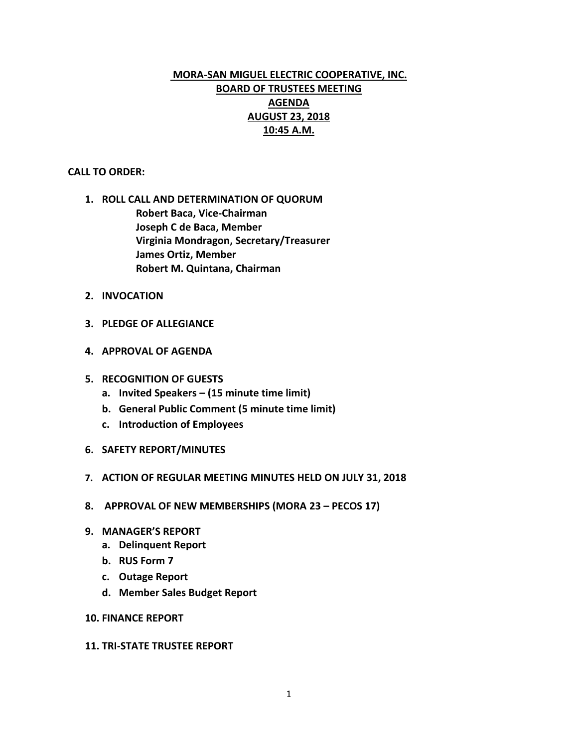## **MORA-SAN MIGUEL ELECTRIC COOPERATIVE, INC. BOARD OF TRUSTEES MEETING AGENDA AUGUST 23, 2018 10:45 A.M.**

## **CALL TO ORDER:**

- **1. ROLL CALL AND DETERMINATION OF QUORUM Robert Baca, Vice-Chairman Joseph C de Baca, Member Virginia Mondragon, Secretary/Treasurer James Ortiz, Member Robert M. Quintana, Chairman**
- **2. INVOCATION**
- **3. PLEDGE OF ALLEGIANCE**
- **4. APPROVAL OF AGENDA**
- **5. RECOGNITION OF GUESTS**
	- **a. Invited Speakers – (15 minute time limit)**
	- **b. General Public Comment (5 minute time limit)**
	- **c. Introduction of Employees**
- **6. SAFETY REPORT/MINUTES**
- **7. ACTION OF REGULAR MEETING MINUTES HELD ON JULY 31, 2018**
- **8. APPROVAL OF NEW MEMBERSHIPS (MORA 23 – PECOS 17)**
- **9. MANAGER'S REPORT**
	- **a. Delinquent Report**
	- **b. RUS Form 7**
	- **c. Outage Report**
	- **d. Member Sales Budget Report**
- **10. FINANCE REPORT**

## **11. TRI-STATE TRUSTEE REPORT**